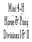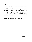Dear Parents,

 We welcome you and your child to the Mini 4-H program. Mini 4-H is designed for boys and girls, who are in either first or second grade during this calendar year.

 Your job as a Mini 4-H parent is to guide your child in any way that you can, we suggest assisting your child in completing the projects, but not completing the projects for them. It is your child's project and will be an important teaching and learning experience for him. So guide your child, but let him do as much of it by himself as he can.

 Your child will need to exhibit something in each of the project areas which he has signed up for. Please see that your child gets the exhibit to the fair during the scheduled time. Your child will receive a ribbon for completing the project. You need to pick up the project after the 4-H Fair or make arrangements for someone else to get the project if you can not.

 If you have any questions, you may call the Extension Office at 736-3724. We hope you and your child will enjoy the Mini 4-H program and we will be looking forward to seeing you at the Johnson County 4-H and Agricultural Fair.

Johnson County 4-H Council

Last Updated in 2005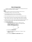### **Mini 4-H Program Rules**

 The Mini 4-H program is designed to supplement and introduce both first and second graders to the Johnson County 4-H program.

#### **RULES**

- 1. Mini 4-H is open to any boy or girl who is enrolled in either the first or second grade on January  $1<sup>st</sup>$  of the current 4-H year.
- 2. Any first grader may enroll in one (1) or two (2) projects. Any second grader may enroll in one (1) to four (4) projects.
- 3. Mini 4-H participants do not enroll in a 4-H club, but do the project at home.
- 4. Mini 4-H projects include: Arts & Crafts, Bugs, Clothing, Collections, Flowers, Foods, Forestry, Horse & Pony, Livestock, Models, Small Animals, and Wildlife.
- 5. Enrollment of Mini 4-H is done in April by distributing enrollment information to all first and second grade classes in each Johnson County elementary school.
- 6. **ALL POSTER EXHIBITS MUST**:
	- A. Have a solid, stiff backing, which is 11" high by 14" wide (half standard poster size). This can be 1/4" plywood, HEAVY cardboard, foam board, or masonite. **Exception: Wildlife poster is 11"x 22".**



- B. Be positioned **HORIZONTALLY**.
- C. Have a total exhibit board no larger than 11" high by 14" wide. **(Wildlife- 11"x 22")**
- D. Be completely **COVERED BY A CLEAR PLASTIC** material.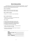### **Mini 4-H Horse and Pony**

In this project you will learn many things about horses and ponies. You will be introduced to new words, how to take care of a horse, breeds of horses, grooming, and the tack used while showing horses and ponies.

#### PROJECT REQUIRMENTS:

Division I: Do two of the activities listed on page 7. Division II: Do five of the activities listed on page 7.

#### WHAT TO EXHIBIT: DIVISION I

1. Make an 11" x 14" poster on a topic listed below.

#### WHAT TO EXHIBIT DIVISION II:

1. Make and 11" x 14" poster on a topic different than what was exhibited in Division I.

#### TOPIC CHOICES:

- A. A picture that you have drawn of a horse or pony
- B. A story you have written about a horse or pony
- C. A collection of cut out pictures of horses and ponies
- D. Pictures of you taking care of or riding your horse
- E. A combination of any of the above items.
- 2. Attach a name tag to your exhibit. You may use the tag printed at the bottom of this page.
- 3. Attach the completed record sheet found in the back of this manual to your exhibit.

**NAME** GRADE(as of Jan. 1) **PROJECT DIVISION**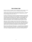## **Mini 4-H Helper's Page**

Welcome to the Mini 4-H program! Mini 4-H is designed for youth to explore a variety of project activity areas and to interact with caring adults and other children.

Children receive this project activity manual when enrolling in Mini 4-H. This manual and the manuals on various other topics will provide fun age appropriate learning activities throughout their year(s) in Mini 4-H.

As a Mini 4-H adult helper your job will be to guide and encourage each child through the activities. A wide range of activities are provided to allow you to choose the ones most appropriate for the children you are working with. It is highly suggested that you do not complete the activities for them. Instead help them, guide them, work with them, and let them do all that they possibly can. 4-H believes in allowing children to learn by doing. The Mini 4-H project activities are hands-on learning opportunities designed to provide a meaningful educational experience for youth.

Additionally, the Mini 4-H program is set up to allow children to display a project activity that is based upon information within this manual. Some children may choose to exhibit their project at the 4-H fair. The 4-H fair is an exciting week that allows community youth to showcase their enthusiasm for learning. Children may choose to display a project activity they did by themselves or one they did with a group.

Mini 4-H is fun! Children will certainly enjoy it. You can have fun too, by guiding and helping as children participate in the program. Encourage and praise the children as they have fun learning and sharing with you. If you have any questions regarding Mini 4-H or other 4-H programs, please feel free to contact your local Extension office.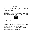## **Mini 4-H'ers Page**

Mini 4-H'ers have lots of fun! There are many activities for you to explore. You can try new things, which you can share with your family and friends.

Here are some things to know about 4-H:

**The 4-H Symbol**: The symbol is a four-leaf clover with an "H" in each leaf. Clover is a plant that grows in fields, yards, and along roadsides. Most clovers only have three leaves. Sometimes, if you look closely you may get lucky and find a clover with four leaves. A four leaf clover is used as the symbol for 4-H to let everyone know 4-H is a special kind of group.



**The 4-H Colors**: The 4-H colors are [green and whit](http://images.google.com/imgres?imgurl=http://texasextension.tamu.edu/logos/4h/4-h_bw.gif&imgrefurl=http://texasextension.tamu.edu/logos/4h/4h.html&h=242&w=226&sz=4&tbnid=9pRCIP-fC6UJ:&tbnh=105&tbnw=98&hl=en&start=5&prev=/images%3Fq%3D4-H%26hl%3Den%26lr%3D)e. The four leaf clover is green and the "H" in the leaf is white.

A group motto is a saying that tells people what is important to the group.

**The 4-H Motto**: "To make the best better." When something is better than all of the others it is the best. Think about a time when you did your best. Maybe you threw a ball farther than you have ever thrown it before. Now think about some ways you could do better. You may be able to throw farther by practicing for a while or by watching someone who can throw farther than you, to see how they throw so far. Even if you throw the ball farther than you have ever thrown it before there are still ways that you can do better the next time. 4-H encourages you to always try to do better, even if you are doing the best you have ever done.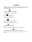# **The 4-H Pledge**

A pledge is a promise you make to yourself and to the people around you. The 4-H pledge is in bold print below. Under each line of the pledge there are words telling what the pledge means.



I pledge my head  $\blacktriangleright$  to clearer thinking.

I promise to use my head to make good choices.



**my heart to greater loyalty.** 

to use my heart to be a good friend.



my hands **W** to larger service, and

to use my hands to do helpful things for others.



to take care of my body and to show others how to live in a healthy way.



to help my group, my community, my country, and my world be happy and safe for everyone.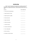## **Activities Page**

 Below is a list of activities you may chose from to complete your Horse and Pony project. Division I members are to complete two activities and Division II members are to complete five activities. List the activities you did on your record sheet.

| <b>ACTIVITY:</b>                  | DATE COMPLETED |
|-----------------------------------|----------------|
| 1. Give one talk or demonstration |                |
| 2. Name the parts of a horse      |                |
| 3. Name the parts of a saddle     |                |
| 4. See a horse movie              |                |
| 5. Read a horse book              |                |
| 6. Attend a horse show            |                |
| 7. Visit with a farrier           |                |
| 8. Visit with a Veterinarian      |                |
| 9. Tour a riding school           |                |
| 10. Visit a tack shop             |                |
| 11. Introduce a friend to horses  |                |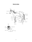## **Parts of a Horse**

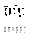

FACE MARKINGS:









Star Stripe Blaze Snip Interrupted Bald example and the stripe of the Stripe of Face and Table 1 and Table 1 and Table 1 and Table 1 and Table 1 and T

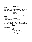## **Caring for Horses**

#### GROOMING:

CURRY COMB: these are used to rough up a horses coat so it is easier to get to the deep dirt and dandruff. This is done by moving the brush in a circular motion with enough pressure to bring up any dirt that is in the undercoat of the hair.



BRUSHES: Coarse bristled brushes bring out the dirt loosened by the curry comb. Soft bristled brushes remove any fine dust left on the hair and bring out oils that make the coat shiny.





RUBBING CLOTH: These remove the last of the dust and make the coat shinier.

MANE AND TAIL BRUSH AND COMB: If a horse's mane or tail is badly tangled a steel brush does well for removing any tangles. However, if they are not tangled then a large tooth plastic comb will work fine.



SWEAT SCRAPPER: This removes excess sweat or water after bathing.



 Sweat Scrapper HOOF PICK: Removes any dirt or mud that is stuck in your horses hooves.

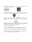FOOD: The right kind of food is important. Basic foods include grass and hay, and some grains like corns and oats.





WATER: Horses also need gallons of fresh water a day. After a work out horses that are hot should be cooled off and dried BEFORE you give them any food or water.



Water Bucket

SHELTER: Horses are outdoor animals, but when there is rain or snow they need a place to go. If the horse goes into its stall everyday then it should be cleaned out everyday.



EXERCISE: All horses need exercise. Horses which get let out in a field everyday can run and play for exercise. However, horses which are not kept in a field but in stalls need to be taken out of their stalls and exercised daily.

THREE PEOPLE YOU NEED TO KNOW:

1. Farrier- The person who trims your horse's hooves and puts on new shoes. It is important to care for your horse's feet and keep them healthy and pain free.

2. Veterinarian- The doctor who takes care of your horse's injuries and diseases.

3. Trainer- The person who trains both the horse and the rider. Training is very important. It is everything a horse and rider MUST know!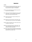### **Appearance**

#### COLORS:

- Bay: A dark brown colored body with black legs, mane, and tail. There is black around the eyes and muzzle. Sometimes there are copper or red highlights.
- Chestnut: A rust colored body with a blonde mane and tail. Sometimes has red highlights.
- Grey: A white coat with black shadowed areas, with a white mane and tail. There is also black on the legs and black on the muzzle and around the eyes.
- Brown: Dark brown body with no special markings, with a brown mane and tail.
- Black: Black body- either blue-black or brown-black, with a black mane and tail, with blue or brown highlights.
- Palomino: Golden colored body, with a white mane and tail. The legs are a darker brown.
- Appaloosa: A white body with black or brown spots. Also a dark colored body with a large white spot on the rump with the same colored spots.
- Paint/Pinto: A brown, black or bay body with white patches. Can also appear to be mostly white, with dark patches. Mane and tail can be light or dark.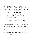BREEDS:(most common)

- **HINT:** Horses are measured in "hands". A "hand" is four inches. Measurement is from the ground to the withers. Ponies are measured in inches.
- Arabian: This breed is used as a parade, stock or saddle horse. The Arabian is 14-15 hands tall and weighs between 900-1000 pounds.
- Appaloosa: The Appaloosa is used as a parade, pleasure or stock horse. Usually it is about 15 hands tall and weighs between 950-1000 pounds.
- Morgan: The Morgan is a combination roadster and saddler, or a stock horse. It is usually about 15 hands tall and weighs about 1000 pounds. The most common Morgan colors are chestnut, brown, bay, and black.
- Palomino: The Palomino is a parade, pleasure and stock horse. The biggest asset of this breed is its golden coat color.
- Quarter Horse: This horse is used in quarter racing, as a stock horse, and a pleasure horse. This breed is heavily muscled and has a quiet temperament. They are about 15 hands tall and weigh 1000-1300 pounds.
- Standard Bred: This horse is used in harness racing or as a roadster. The Standard Bred is usually 14-16 hands tall and weighs between 850-1300 pounds.
- Thoroughbred: This horse is used for racing, hunting, polo, and pleasure purposes. It is 15-16 hands tall and weighs 1000-1200 pounds.
- Paint: The paint horse is used as a stock, pleasure and parade horse. They are similar to Quarter horses only paints have more white patches on their bodies. They are about 15 hands tall and weigh 1000-1300 pounds.

#### PONIES:

Shetland: Used with a saddle or harness. Around 40" tall and weighs 300-400 pounds.

Welsh: Used with a saddle or harness. Around 58" tall and weighs around 500 pounds.

Pony of Americas: Large western pony usually 46-54 hands tall. Usually ridden western style.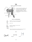### **Tack**

#### PARTS OF A WESTERN STOCK SADDLE







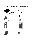#### WESTERN SHOWING ATTIRE:

 If you are going to be showing in a western show it is important that you wear proper show clothes. Here is the attire that most shows would like riders to wear.

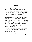### **Showing**

HALTER CLASS:

- 1. When you come into the ring walk on the left side of your horse. Hold the lead shank 6-15 inches from the halter with your right hand and carry the loose end neatly in the left. (Do not coil in your hand).
- 2. Follow the ringmaster's direction as to which way to go. When you line up facing the judge, stand square. Hold your horses head high with his weight balanced on all four feet. Stand to the front and left of your horse. As the judge passes you, move quickly to the right side. This gives the judge a clear view of your horse. If your horse moves out of his spot in line, move him back quickly.

Now the judge will want to look at you by yourself.

- 3. From the left side, set the horse in a straight line from the judge. When you are told, lead your horse quickly to the judge in a straight line. Look straight ahead, not at your horse.
- 4. Stop your horse directly in front of the judge, about one arms length away. Set up your horse as square as possible. When your horse is ready, position yourself, (stay on the left side with your toes pointed to the horses shoulder) twist the top of your body to face the judge, nod and SMILE. That will tell him you are in the position that you want. The judge may walk around your horse, if so move quickly and quietly from the left side to the right.
- 5. When the judge tells you, walk to the right around your horse holding him back so that he will pivot on his hindquarters.
- 6. When you have completed your turn, pause slightly and get your horse ready for the return. Do not stop and pose your horse. Look over your right shoulder to be sure you and the judge are in a straight line before trotting back into line.
- 7. Trot your horse back into line, going through the line of horses. Turn your horse, bring him back into line and set him up.

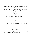The rest of your classes in a show will be done riding your horse. The most important thing to know for these classes is the gaits of the horse. There are three basic, natural gaits you need to know.

WALK: The horse moves his legs in turn, making four hoof beats. The usual order is right front, left rear, left front, right rear. A horse with a good walk should not move up and down much.



TROT: This gait has only TWO hoof beats because the legs move in pairs. This is a faster pace than a walk and is bouncy and springy. The usual order is left front, right rear, and the right front and left rear work together.



LOPE: There are THREE hoof beats. Two legs move together on the second beat. These should be long sweeping steps. The lead foot will be the first to leave the ground and last to strike the ground.



Now that you have your horse going fairly quickly to get him to stop say "whoa" in a slow and firm manner, gradually pull back or tighten on the reins, brace yourself with your heels low in the stirrups, and lean back slightly.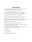### **Safety Instructions**

 Horses are much bigger than you are and it is important that you are very careful around them to avoid injury to both you and the horse.

- 1. Walk up to the horse from the FRONT, by his shoulder if you can.
- 2. Talk to your horse while you are walking up to it. You will not frighten him that way. Sometimes they are sleeping when they look like they are awake.
- 3. Always stand by the horses side, at his neck to lead or hold him.
- 4. When your horse gets too close for safety say "back" and move him back.
- 5. When turning, always turn your horse to the right and walk around him.
- 6. Use both hands to lead your horse. That way if your horse should act up you can let go with your right hand and still have a hold of the lead with your left.
- 7. NEVER crawl under the belly of your horse.
- 8. ALWAYS wear boots when you work with or ride your horse.
- 9. Do not walk in the DANGER ZONE. The danger zone is anywhere your horse can kick you. Make sure you walk out of kicking range.
- 10. NEVER wrap a lead rope around your hand or body. If the horse takes off and you are tangled in the rope you could get really injured.
- 11. Know your horse!
- 12. Check your tack.
- 13. Tie your horse with care.
- 14. Do not play or run around your horse.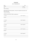### RECORD SHEET

#### MINI 4-H HORSE AND PONY

|                                                                                                                        | Age                     |
|------------------------------------------------------------------------------------------------------------------------|-------------------------|
|                                                                                                                        | Division                |
|                                                                                                                        | _Zip Code___________    |
| School Attending School Attending School Attending School Attending School Attending School Attending School Attending |                         |
| Please answer the following questions. Attach this completed record sheet to the<br>back of your poster.               |                         |
|                                                                                                                        |                         |
| Activities from the ACTIVITY PAGE I completed are:                                                                     |                         |
|                                                                                                                        |                         |
|                                                                                                                        |                         |
| <u> 1989 - Andrea San Andrea Andrea Andrea Andrea Andrea Andrea Andrea Andrea Andrea Andrea Andrea Andrea Andrea</u>   |                         |
|                                                                                                                        |                         |
|                                                                                                                        |                         |
|                                                                                                                        |                         |
|                                                                                                                        |                         |
|                                                                                                                        |                         |
|                                                                                                                        |                         |
|                                                                                                                        |                         |
| ,我们也不会有什么。""我们的人,我们也不会有什么?""我们的人,我们也不会有什么?""我们的人,我们也不会有什么?""我们的人,我们也不会有什么?""我们的人                                       |                         |
|                                                                                                                        | Date Completed_________ |
|                                                                                                                        |                         |
|                                                                                                                        |                         |